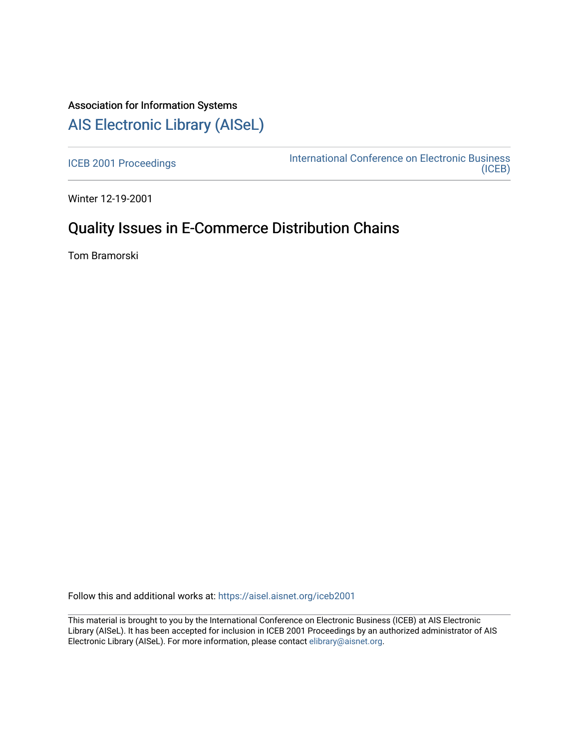## Association for Information Systems [AIS Electronic Library \(AISeL\)](https://aisel.aisnet.org/)

[ICEB 2001 Proceedings](https://aisel.aisnet.org/iceb2001) **International Conference on Electronic Business** [\(ICEB\)](https://aisel.aisnet.org/iceb) 

Winter 12-19-2001

# Quality Issues in E-Commerce Distribution Chains

Tom Bramorski

Follow this and additional works at: [https://aisel.aisnet.org/iceb2001](https://aisel.aisnet.org/iceb2001?utm_source=aisel.aisnet.org%2Ficeb2001%2F75&utm_medium=PDF&utm_campaign=PDFCoverPages)

This material is brought to you by the International Conference on Electronic Business (ICEB) at AIS Electronic Library (AISeL). It has been accepted for inclusion in ICEB 2001 Proceedings by an authorized administrator of AIS Electronic Library (AISeL). For more information, please contact [elibrary@aisnet.org.](mailto:elibrary@aisnet.org%3E)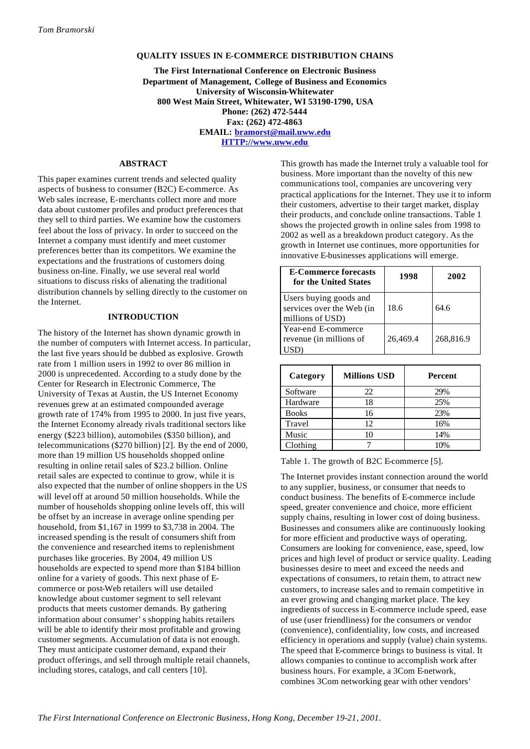## **QUALITY ISSUES IN E-COMMERCE DISTRIBUTION CHAINS**

**The First International Conference on Electronic Business Department of Management, College of Business and Economics University of Wisconsin-Whitewater 800 West Main Street, Whitewater, WI 53190-1790, USA Phone: (262) 472-5444 Fax: (262) 472-4863 EMAIL: bramorst@mail.uww.edu HTTP://www.uww.edu**

## **ABSTRACT**

This paper examines current trends and selected quality aspects of business to consumer (B2C) E-commerce. As Web sales increase, E-merchants collect more and more data about customer profiles and product preferences that they sell to third parties. We examine how the customers feel about the loss of privacy. In order to succeed on the Internet a company must identify and meet customer preferences better than its competitors. We examine the expectations and the frustrations of customers doing business on-line. Finally, we use several real world situations to discuss risks of alienating the traditional distribution channels by selling directly to the customer on the Internet.

## **INTRODUCTION**

The history of the Internet has shown dynamic growth in the number of computers with Internet access. In particular, the last five years should be dubbed as explosive. Growth rate from 1 million users in 1992 to over 86 million in 2000 is unprecedented. According to a study done by the Center for Research in Electronic Commerce, The University of Texas at Austin, the US Internet Economy revenues grew at an estimated compounded average growth rate of 174% from 1995 to 2000. In just five years, the Internet Economy already rivals traditional sectors like energy (\$223 billion), automobiles (\$350 billion), and telecommunications (\$270 billion) [2]. By the end of 2000, more than 19 million US households shopped online resulting in online retail sales of \$23.2 billion. Online retail sales are expected to continue to grow, while it is also expected that the number of online shoppers in the US will level off at around 50 million households. While the number of households shopping online levels off, this will be offset by an increase in average online spending per household, from \$1,167 in 1999 to \$3,738 in 2004. The increased spending is the result of consumers shift from the convenience and researched items to replenishment purchases like groceries. By 2004, 49 million US households are expected to spend more than \$184 billion online for a variety of goods. This next phase of Ecommerce or post-Web retailers will use detailed knowledge about customer segment to sell relevant products that meets customer demands. By gathering information about consumer's shopping habits retailers will be able to identify their most profitable and growing customer segments. Accumulation of data is not enough. They must anticipate customer demand, expand their product offerings, and sell through multiple retail channels, including stores, catalogs, and call centers [10].

This growth has made the Internet truly a valuable tool for business. More important than the novelty of this new communications tool, companies are uncovering very practical applications for the Internet. They use it to inform their customers, advertise to their target market, display their products, and conclude online transactions. Table 1 shows the projected growth in online sales from 1998 to 2002 as well as a breakdown product category. As the growth in Internet use continues, more opportunities for innovative E-businesses applications will emerge.

| <b>E-Commerce forecasts</b><br>for the United States                    | 1998     | 2002      |
|-------------------------------------------------------------------------|----------|-----------|
| Users buying goods and<br>services over the Web (in<br>millions of USD) | 18.6     | 64.6      |
| Year-end E-commerce<br>revenue (in millions of                          | 26,469.4 | 268,816.9 |

| Category     | <b>Millions USD</b> | <b>Percent</b> |
|--------------|---------------------|----------------|
| Software     | 22                  | 29%            |
| Hardware     | 18                  | 25%            |
| <b>Books</b> | 16                  | 23%            |
| Travel       | 12.                 | 16%            |
| Music        | 10                  | 14%            |
| Clothing     |                     | 10%            |

Table 1. The growth of B2C E-commerce [5].

The Internet provides instant connection around the world to any supplier, business, or consumer that needs to conduct business. The benefits of E-commerce include speed, greater convenience and choice, more efficient supply chains, resulting in lower cost of doing business. Businesses and consumers alike are continuously looking for more efficient and productive ways of operating. Consumers are looking for convenience, ease, speed, low prices and high level of product or service quality. Leading businesses desire to meet and exceed the needs and expectations of consumers, to retain them, to attract new customers, to increase sales and to remain competitive in an ever growing and changing market place. The key ingredients of success in E-commerce include speed, ease of use (user friendliness) for the consumers or vendor (convenience), confidentiality, low costs, and increased efficiency in operations and supply (value) chain systems. The speed that E-commerce brings to business is vital. It allows companies to continue to accomplish work after business hours. For example, a 3Com E-network, combines 3Com networking gear with other vendors'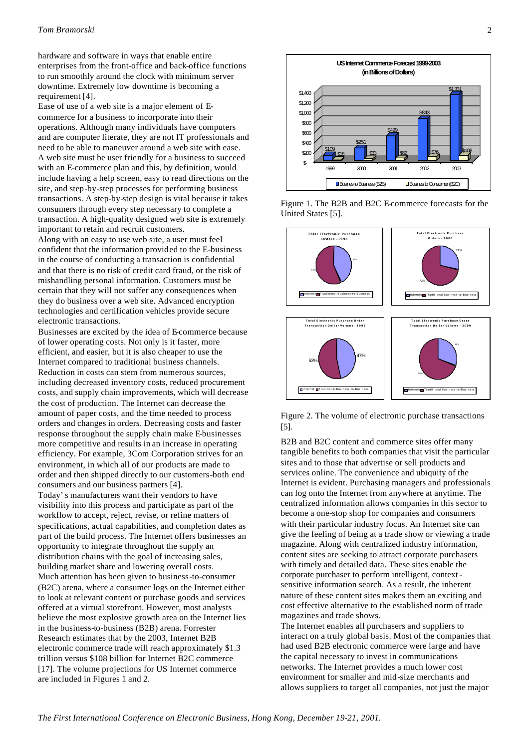hardware and software in ways that enable entire enterprises from the front-office and back-office functions to run smoothly around the clock with minimum server downtime. Extremely low downtime is becoming a requirement [4].

Ease of use of a web site is a major element of Ecommerce for a business to incorporate into their operations. Although many individuals have computers and are computer literate, they are not IT professionals and need to be able to maneuver around a web site with ease. A web site must be user friendly for a business to succeed with an E-commerce plan and this, by definition, would include having a help screen, easy to read directions on the site, and step-by-step processes for performing business transactions. A step-by-step design is vital because it takes consumers through every step necessary to complete a transaction. A high-quality designed web site is extremely important to retain and recruit customers.

Along with an easy to use web site, a user must feel confident that the information provided to the E-business in the course of conducting a transaction is confidential and that there is no risk of credit card fraud, or the risk of mishandling personal information. Customers must be certain that they will not suffer any consequences when they do business over a web site. Advanced encryption technologies and certification vehicles provide secure electronic transactions.

Businesses are excited by the idea of E-commerce because of lower operating costs. Not only is it faster, more efficient, and easier, but it is also cheaper to use the Internet compared to traditional business channels. Reduction in costs can stem from numerous sources, including decreased inventory costs, reduced procurement costs, and supply chain improvements, which will decrease the cost of production. The Internet can decrease the amount of paper costs, and the time needed to process orders and changes in orders. Decreasing costs and faster response throughout the supply chain make E-businesses more competitive and results in an increase in operating efficiency. For example, 3Com Corporation strives for an environment, in which all of our products are made to order and then shipped directly to our customers-both end consumers and our business partners [4]. Today's manufacturers want their vendors to have visibility into this process and participate as part of the workflow to accept, reject, revise, or refine matters of specifications, actual capabilities, and completion dates as part of the build process. The Internet offers businesses an opportunity to integrate throughout the supply an distribution chains with the goal of increasing sales, building market share and lowering overall costs. Much attention has been given to business-to-consumer (B2C) arena, where a consumer logs on the Internet either to look at relevant content or purchase goods and services offered at a virtual storefront. However, most analysts believe the most explosive growth area on the Internet lies in the business-to-business (B2B) arena. Forrester Research estimates that by the 2003, Internet B2B electronic commerce trade will reach approximately \$1.3 trillion versus \$108 billion for Internet B2C commerce [17]. The volume projections for US Internet commerce are included in Figures 1 and 2.



Figure 1. The B2B and B2C E-commerce forecasts for the United States [5].



Figure 2. The volume of electronic purchase transactions [5].

B2B and B2C content and commerce sites offer many tangible benefits to both companies that visit the particular sites and to those that advertise or sell products and services online. The convenience and ubiquity of the Internet is evident. Purchasing managers and professionals can log onto the Internet from anywhere at anytime. The centralized information allows companies in this sector to become a one-stop shop for companies and consumers with their particular industry focus. An Internet site can give the feeling of being at a trade show or viewing a trade magazine. Along with centralized industry information, content sites are seeking to attract corporate purchasers with timely and detailed data. These sites enable the corporate purchaser to perform intelligent, contextsensitive information search. As a result, the inherent nature of these content sites makes them an exciting and cost effective alternative to the established norm of trade magazines and trade shows.

The Internet enables all purchasers and suppliers to interact on a truly global basis. Most of the companies that had used B2B electronic commerce were large and have the capital necessary to invest in communications networks. The Internet provides a much lower cost environment for smaller and mid-size merchants and allows suppliers to target all companies, not just the major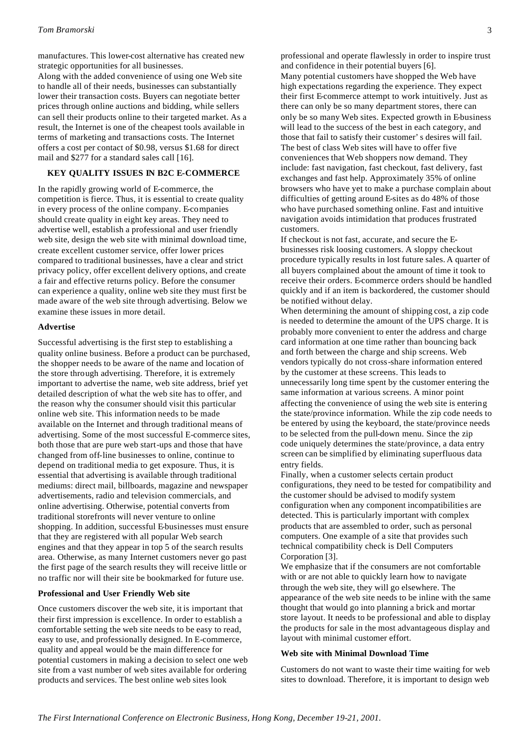manufactures. This lower-cost alternative has created new strategic opportunities for all businesses.

Along with the added convenience of using one Web site to handle all of their needs, businesses can substantially lower their transaction costs. Buyers can negotiate better prices through online auctions and bidding, while sellers can sell their products online to their targeted market. As a result, the Internet is one of the cheapest tools available in terms of marketing and transactions costs. The Internet offers a cost per contact of \$0.98, versus \$1.68 for direct mail and \$277 for a standard sales call [16].

## **KEY QUALITY ISSUES IN B2C E-COMMERCE**

In the rapidly growing world of E-commerce, the competition is fierce. Thus, it is essential to create quality in every process of the online company. E-companies should create quality in eight key areas. They need to advertise well, establish a professional and user friendly web site, design the web site with minimal download time, create excellent customer service, offer lower prices compared to traditional businesses, have a clear and strict privacy policy, offer excellent delivery options, and create a fair and effective returns policy. Before the consumer can experience a quality, online web site they must first be made aware of the web site through advertising. Below we examine these issues in more detail.

## **Advertise**

Successful advertising is the first step to establishing a quality online business. Before a product can be purchased, the shopper needs to be aware of the name and location of the store through advertising. Therefore, it is extremely important to advertise the name, web site address, brief yet detailed description of what the web site has to offer, and the reason why the consumer should visit this particular online web site. This information needs to be made available on the Internet and through traditional means of advertising. Some of the most successful E-commerce sites, both those that are pure web start-ups and those that have changed from off-line businesses to online, continue to depend on traditional media to get exposure. Thus, it is essential that advertising is available through traditional mediums: direct mail, billboards, magazine and newspaper advertisements, radio and television commercials, and online advertising. Otherwise, potential converts from traditional storefronts will never venture to online shopping. In addition, successful E-businesses must ensure that they are registered with all popular Web search engines and that they appear in top 5 of the search results area. Otherwise, as many Internet customers never go past the first page of the search results they will receive little or no traffic nor will their site be bookmarked for future use.

## **Professional and User Friendly Web site**

Once customers discover the web site, it is important that their first impression is excellence. In order to establish a comfortable setting the web site needs to be easy to read, easy to use, and professionally designed. In E-commerce, quality and appeal would be the main difference for potential customers in making a decision to select one web site from a vast number of web sites available for ordering products and services. The best online web sites look

professional and operate flawlessly in order to inspire trust and confidence in their potential buyers [6].

Many potential customers have shopped the Web have high expectations regarding the experience. They expect their first E-commerce attempt to work intuitively. Just as there can only be so many department stores, there can only be so many Web sites. Expected growth in E-business will lead to the success of the best in each category, and those that fail to satisfy their customer's desires will fail. The best of class Web sites will have to offer five conveniences that Web shoppers now demand. They include: fast navigation, fast checkout, fast delivery, fast exchanges and fast help. Approximately 35% of online browsers who have yet to make a purchase complain about difficulties of getting around E-sites as do 48% of those who have purchased something online. Fast and intuitive navigation avoids intimidation that produces frustrated customers.

If checkout is not fast, accurate, and secure the Ebusinesses risk loosing customers. A sloppy checkout procedure typically results in lost future sales. A quarter of all buyers complained about the amount of time it took to receive their orders. E-commerce orders should be handled quickly and if an item is backordered, the customer should be notified without delay.

When determining the amount of shipping cost, a zip code is needed to determine the amount of the UPS charge. It is probably more convenient to enter the address and charge card information at one time rather than bouncing back and forth between the charge and ship screens. Web vendors typically do not cross-share information entered by the customer at these screens. This leads to unnecessarily long time spent by the customer entering the same information at various screens. A minor point affecting the convenience of using the web site is entering the state/province information. While the zip code needs to be entered by using the keyboard, the state/province needs to be selected from the pull-down menu. Since the zip code uniquely determines the state/province, a data entry screen can be simplified by eliminating superfluous data entry fields.

Finally, when a customer selects certain product configurations, they need to be tested for compatibility and the customer should be advised to modify system configuration when any component incompatibilities are detected. This is particularly important with complex products that are assembled to order, such as personal computers. One example of a site that provides such technical compatibility check is Dell Computers Corporation [3].

We emphasize that if the consumers are not comfortable with or are not able to quickly learn how to navigate through the web site, they will go elsewhere. The appearance of the web site needs to be inline with the same thought that would go into planning a brick and mortar store layout. It needs to be professional and able to display the products for sale in the most advantageous display and layout with minimal customer effort.

#### **Web site with Minimal Download Time**

Customers do not want to waste their time waiting for web sites to download. Therefore, it is important to design web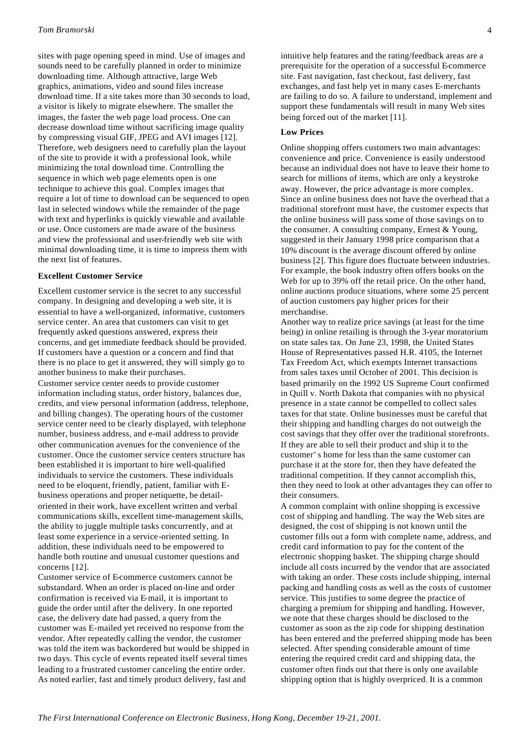sites with page opening speed in mind. Use of images and sounds need to be carefully planned in order to minimize downloading time. Although attractive, large Web graphics, animations, video and sound files increase download time. If a site takes more than 30 seconds to load, a visitor is likely to migrate elsewhere. The smaller the images, the faster the web page load process. One can decrease download time without sacrificing image quality by compressing visual GIF, JPEG and AVI images [12]. Therefore, web designers need to carefully plan the layout of the site to provide it with a professional look, while minimizing the total download time. Controlling the sequence in which web page elements open is one technique to achieve this goal. Complex images that require a lot of time to download can be sequenced to open last in selected windows while the remainder of the page with text and hyperlinks is quickly viewable and available or use. Once customers are made aware of the business and view the professional and user-friendly web site with minimal downloading time, it is time to impress them with the next list of features.

#### **Excellent Customer Service**

Excellent customer service is the secret to any successful company. In designing and developing a web site, it is essential to have a well-organized, informative, customers service center. An area that customers can visit to get frequently asked questions answered, express their concerns, and get immediate feedback should be provided. If customers have a question or a concern and find that there is no place to get it answered, they will simply go to another business to make their purchases. Customer service center needs to provide customer information including status, order history, balances due, credits, and view personal information (address, telephone, and billing changes). The operating hours of the customer service center need to be clearly displayed, with telephone number, business address, and e-mail address to provide other communication avenues for the convenience of the customer. Once the customer service centers structure has been established it is important to hire well-qualified individuals to service the customers. These individuals need to be eloquent, friendly, patient, familiar with Ebusiness operations and proper netiquette, be detailoriented in their work, have excellent written and verbal communications skills, excellent time-management skills, the ability to juggle multiple tasks concurrently, and at least some experience in a service-oriented setting. In addition, these individuals need to be empowered to handle both routine and unusual customer questions and concerns [12].

Customer service of E-commerce customers cannot be substandard. When an order is placed on-line and order confirmation is received via E-mail, it is important to guide the order until after the delivery. In one reported case, the delivery date had passed, a query from the customer was E-mailed yet received no response from the vendor. After repeatedly calling the vendor, the customer was told the item was backordered but would be shipped in two days. This cycle of events repeated itself several times leading to a frustrated customer canceling the entire order. As noted earlier, fast and timely product delivery, fast and

intuitive help features and the rating/feedback areas are a prerequisite for the operation of a successful E-commerce site. Fast navigation, fast checkout, fast delivery, fast exchanges, and fast help yet in many cases E-merchants are failing to do so. A failure to understand, implement and support these fundamentals will result in many Web sites being forced out of the market [11].

## **Low Prices**

Online shopping offers customers two main advantages: convenience and price. Convenience is easily understood because an individual does not have to leave their home to search for millions of items, which are only a keystroke away. However, the price advantage is more complex. Since an online business does not have the overhead that a traditional storefront must have, the customer expects that the online business will pass some of those savings on to the consumer. A consulting company, Ernest & Young, suggested in their January 1998 price comparison that a 10% discount is the average discount offered by online business [2]. This figure does fluctuate between industries. For example, the book industry often offers books on the Web for up to 39% off the retail price. On the other hand, online auctions produce situations, where some 25 percent of auction customers pay higher prices for their merchandise.

Another way to realize price savings (at least for the time being) in online retailing is through the 3-year moratorium on state sales tax. On June 23, 1998, the United States House of Representatives passed H.R. 4105, the Internet Tax Freedom Act, which exempts Internet transactions from sales taxes until October of 2001. This decision is based primarily on the 1992 US Supreme Court confirmed in Quill v. North Dakota that companies with no physical presence in a state cannot be compelled to collect sales taxes for that state. Online businesses must be careful that their shipping and handling charges do not outweigh the cost savings that they offer over the traditional storefronts. If they are able to sell their product and ship it to the customer's home for less than the same customer can purchase it at the store for, then they have defeated the traditional competition. If they cannot accomplish this, then they need to look at other advantages they can offer to their consumers.

A common complaint with online shopping is excessive cost of shipping and handling. The way the Web sites are designed, the cost of shipping is not known until the customer fills out a form with complete name, address, and credit card information to pay for the content of the electronic shopping basket. The shipping charge should include all costs incurred by the vendor that are associated with taking an order. These costs include shipping, internal packing and handling costs as well as the costs of customer service. This justifies to some degree the practice of charging a premium for shipping and handling. However, we note that these charges should be disclosed to the customer as soon as the zip code for shipping destination has been entered and the preferred shipping mode has been selected. After spending considerable amount of time entering the required credit card and shipping data, the customer often finds out that there is only one available shipping option that is highly overpriced. It is a common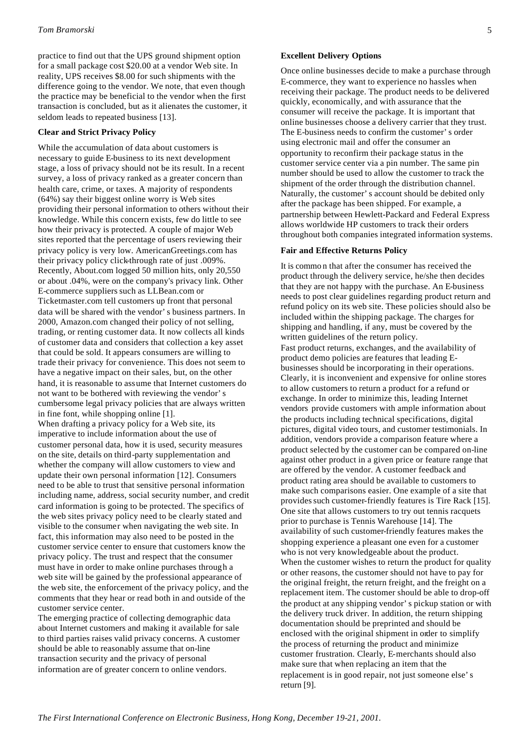practice to find out that the UPS ground shipment option for a small package cost \$20.00 at a vendor Web site. In reality, UPS receives \$8.00 for such shipments with the difference going to the vendor. We note, that even though the practice may be beneficial to the vendor when the first transaction is concluded, but as it alienates the customer, it seldom leads to repeated business [13].

## **Clear and Strict Privacy Policy**

While the accumulation of data about customers is necessary to guide E-business to its next development stage, a loss of privacy should not be its result. In a recent survey, a loss of privacy ranked as a greater concern than health care, crime, or taxes. A majority of respondents (64%) say their biggest online worry is Web sites providing their personal information to others without their knowledge. While this concern exists, few do little to see how their privacy is protected. A couple of major Web sites reported that the percentage of users reviewing their privacy policy is very low. AmericanGreetings.com has their privacy policy click-through rate of just .009%. Recently, About.com logged 50 million hits, only 20,550 or about .04%, were on the company's privacy link. Other E-commerce suppliers such as LLBean.com or Ticketmaster.com tell customers up front that personal data will be shared with the vendor's business partners. In 2000, Amazon.com changed their policy of not selling, trading, or renting customer data. It now collects all kinds of customer data and considers that collection a key asset that could be sold. It appears consumers are willing to trade their privacy for convenience. This does not seem to have a negative impact on their sales, but, on the other hand, it is reasonable to assume that Internet customers do not want to be bothered with reviewing the vendor's cumbersome legal privacy policies that are always written in fine font, while shopping online [1].

When drafting a privacy policy for a Web site, its imperative to include information about the use of customer personal data, how it is used, security measures on the site, details on third-party supplementation and whether the company will allow customers to view and update their own personal information [12]. Consumers need to be able to trust that sensitive personal information including name, address, social security number, and credit card information is going to be protected. The specifics of the web sites privacy policy need to be clearly stated and visible to the consumer when navigating the web site. In fact, this information may also need to be posted in the customer service center to ensure that customers know the privacy policy. The trust and respect that the consumer must have in order to make online purchases through a web site will be gained by the professional appearance of the web site, the enforcement of the privacy policy, and the comments that they hear or read both in and outside of the customer service center.

The emerging practice of collecting demographic data about Internet customers and making it available for sale to third parties raises valid privacy concerns. A customer should be able to reasonably assume that on-line transaction security and the privacy of personal information are of greater concern to online vendors.

## **Excellent Delivery Options**

Once online businesses decide to make a purchase through E-commerce, they want to experience no hassles when receiving their package. The product needs to be delivered quickly, economically, and with assurance that the consumer will receive the package. It is important that online businesses choose a delivery carrier that they trust. The E-business needs to confirm the customer's order using electronic mail and offer the consumer an opportunity to reconfirm their package status in the customer service center via a pin number. The same pin number should be used to allow the customer to track the shipment of the order through the distribution channel. Naturally, the customer's account should be debited only after the package has been shipped. For example, a partnership between Hewlett-Packard and Federal Express allows worldwide HP customers to track their orders throughout both companies integrated information systems.

## **Fair and Effective Returns Policy**

It is commo n that after the consumer has received the product through the delivery service, he/she then decides that they are not happy with the purchase. An E-business needs to post clear guidelines regarding product return and refund policy on its web site. These policies should also be included within the shipping package. The charges for shipping and handling, if any, must be covered by the written guidelines of the return policy. Fast product returns, exchanges, and the availability of product demo policies are features that leading Ebusinesses should be incorporating in their operations. Clearly, it is inconvenient and expensive for online stores to allow customers to return a product for a refund or exchange. In order to minimize this, leading Internet vendors provide customers with ample information about the products including technical specifications, digital pictures, digital video tours, and customer testimonials. In addition, vendors provide a comparison feature where a product selected by the customer can be compared on-line against other product in a given price or feature range that are offered by the vendor. A customer feedback and product rating area should be available to customers to make such comparisons easier. One example of a site that provides such customer-friendly features is Tire Rack [15]. One site that allows customers to try out tennis racquets prior to purchase is Tennis Warehouse [14]. The availability of such customer-friendly features makes the shopping experience a pleasant one even for a customer who is not very knowledgeable about the product. When the customer wishes to return the product for quality or other reasons, the customer should not have to pay for the original freight, the return freight, and the freight on a replacement item. The customer should be able to drop-off the product at any shipping vendor's pickup station or with the delivery truck driver. In addition, the return shipping documentation should be preprinted and should be enclosed with the original shipment in order to simplify the process of returning the product and minimize customer frustration. Clearly, E-merchants should also make sure that when replacing an item that the replacement is in good repair, not just someone else's return [9].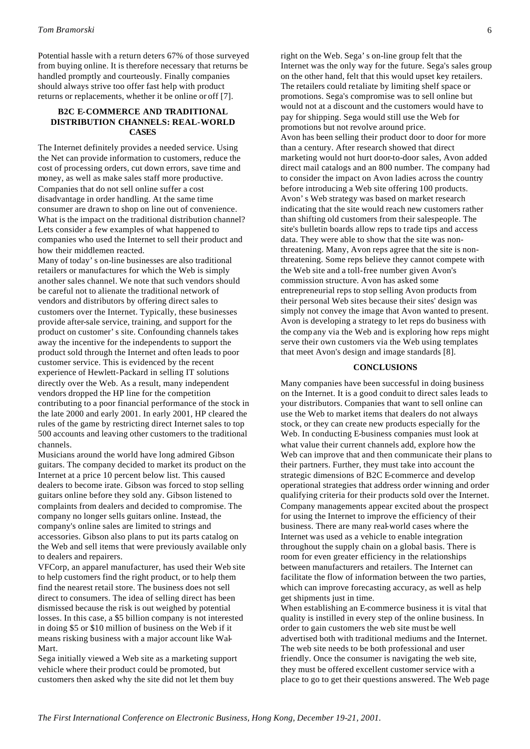Potential hassle with a return deters 67% of those surveyed from buying online. It is therefore necessary that returns be handled promptly and courteously. Finally companies should always strive too offer fast help with product returns or replacements, whether it be online or off [7].

## **B2C E-COMMERCE AND TRADITIONAL DISTRIBUTION CHANNELS: REAL-WORLD CASES**

The Internet definitely provides a needed service. Using the Net can provide information to customers, reduce the cost of processing orders, cut down errors, save time and money, as well as make sales staff more productive. Companies that do not sell online suffer a cost disadvantage in order handling. At the same time consumer are drawn to shop on line out of convenience. What is the impact on the traditional distribution channel? Lets consider a few examples of what happened to companies who used the Internet to sell their product and how their middlemen reacted.

Many of today's on-line businesses are also traditional retailers or manufactures for which the Web is simply another sales channel. We note that such vendors should be careful not to alienate the traditional network of vendors and distributors by offering direct sales to customers over the Internet. Typically, these businesses provide after-sale service, training, and support for the product on customer's site. Confounding channels takes away the incentive for the independents to support the product sold through the Internet and often leads to poor customer service. This is evidenced by the recent experience of Hewlett-Packard in selling IT solutions directly over the Web. As a result, many independent vendors dropped the HP line for the competition contributing to a poor financial performance of the stock in the late 2000 and early 2001. In early 2001, HP cleared the rules of the game by restricting direct Internet sales to top 500 accounts and leaving other customers to the traditional channels.

Musicians around the world have long admired Gibson guitars. The company decided to market its product on the Internet at a price 10 percent below list. This caused dealers to become irate. Gibson was forced to stop selling guitars online before they sold any. Gibson listened to complaints from dealers and decided to compromise. The company no longer sells guitars online. Instead, the company's online sales are limited to strings and accessories. Gibson also plans to put its parts catalog on the Web and sell items that were previously available only to dealers and repairers.

VFCorp, an apparel manufacturer, has used their Web site to help customers find the right product, or to help them find the nearest retail store. The business does not sell direct to consumers. The idea of selling direct has been dismissed because the risk is out weighed by potential losses. In this case, a \$5 billion company is not interested in doing \$5 or \$10 million of business on the Web if it means risking business with a major account like Wal-Mart.

Sega initially viewed a Web site as a marketing support vehicle where their product could be promoted, but customers then asked why the site did not let them buy

right on the Web. Sega's on-line group felt that the Internet was the only way for the future. Sega's sales group on the other hand, felt that this would upset key retailers. The retailers could retaliate by limiting shelf space or promotions. Sega's compromise was to sell online but would not at a discount and the customers would have to pay for shipping. Sega would still use the Web for promotions but not revolve around price. Avon has been selling their product door to door for more than a century. After research showed that direct marketing would not hurt door-to-door sales, Avon added direct mail catalogs and an 800 number. The company had to consider the impact on Avon ladies across the country before introducing a Web site offering 100 products. Avon's Web strategy was based on market research indicating that the site would reach new customers rather than shifting old customers from their salespeople. The site's bulletin boards allow reps to trade tips and access data. They were able to show that the site was nonthreatening. Many, Avon reps agree that the site is nonthreatening. Some reps believe they cannot compete with the Web site and a toll-free number given Avon's commission structure. Avon has asked some entrepreneurial reps to stop selling Avon products from their personal Web sites because their sites' design was simply not convey the image that Avon wanted to present. Avon is developing a strategy to let reps do business with the comp any via the Web and is exploring how reps might serve their own customers via the Web using templates that meet Avon's design and image standards [8].

## **CONCLUSIONS**

Many companies have been successful in doing business on the Internet. It is a good conduit to direct sales leads to your distributors. Companies that want to sell online can use the Web to market items that dealers do not always stock, or they can create new products especially for the Web. In conducting E-business companies must look at what value their current channels add, explore how the Web can improve that and then communicate their plans to their partners. Further, they must take into account the strategic dimensions of B2C E-commerce and develop operational strategies that address order winning and order qualifying criteria for their products sold over the Internet. Company managements appear excited about the prospect for using the Internet to improve the efficiency of their business. There are many real-world cases where the Internet was used as a vehicle to enable integration throughout the supply chain on a global basis. There is room for even greater efficiency in the relationships between manufacturers and retailers. The Internet can facilitate the flow of information between the two parties, which can improve forecasting accuracy, as well as help get shipments just in time.

When establishing an E-commerce business it is vital that quality is instilled in every step of the online business. In order to gain customers the web site must be well advertised both with traditional mediums and the Internet. The web site needs to be both professional and user friendly. Once the consumer is navigating the web site, they must be offered excellent customer service with a place to go to get their questions answered. The Web page